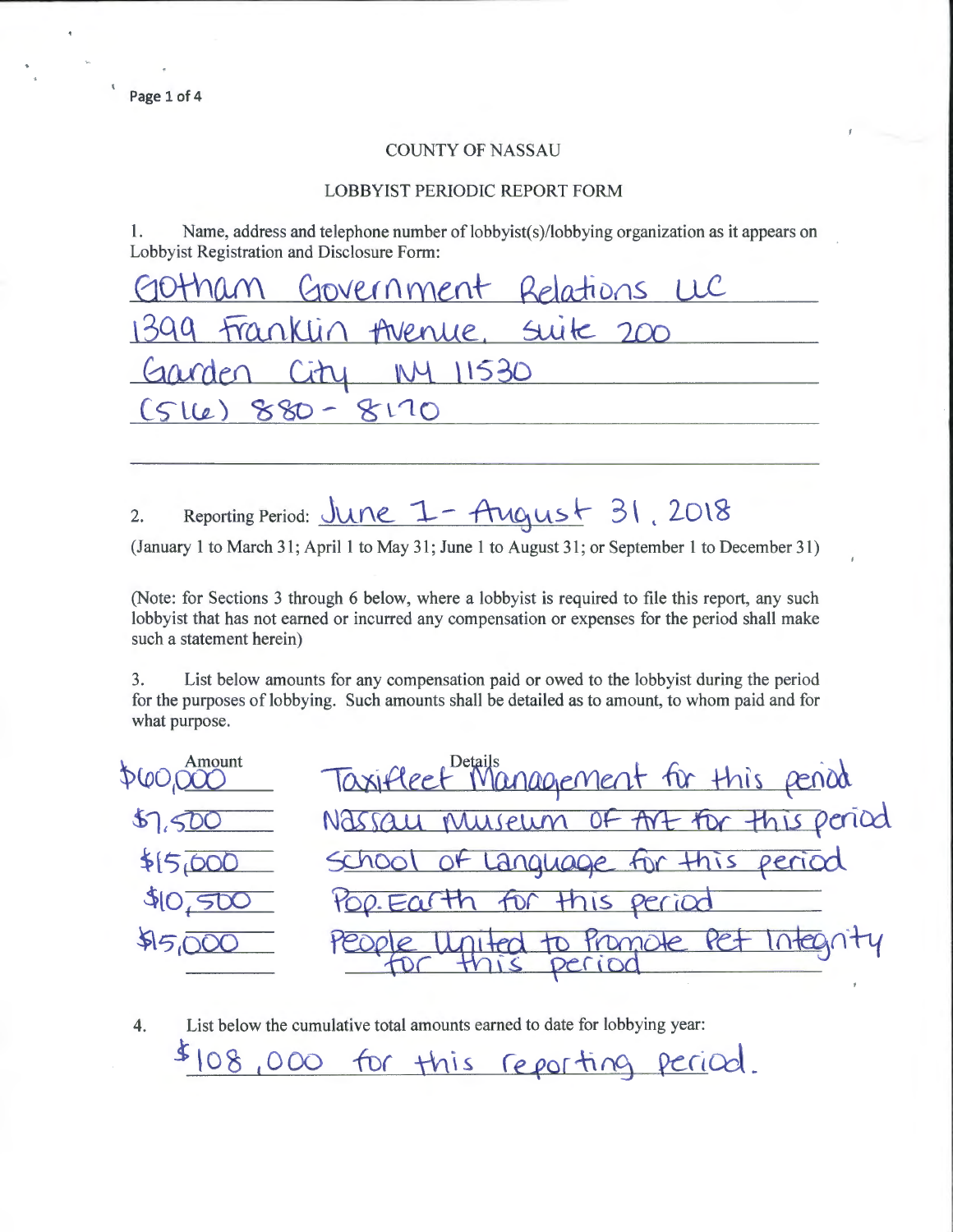Page 1 of 4

#### COUNTY OF NASSAU

### LOBBYIST PERIODIC REPORT FORM

1. Name, address and telephone number of lobbyist(s)/lobbying organization as it appears on Lobbyist Registration and Disclosure Form:

| Gotham Government Relations UC  |  |
|---------------------------------|--|
| 1399 Franklin Avenue, suite 200 |  |
| Garden City My 11530            |  |
| (SILE) 880 - 8170               |  |
|                                 |  |

# 2. Reporting Period: <u>June 1- August</u> 31, 2018

(January 1 to March 31; April 1 to May 31; June 1 to August 31; or September 1 to December 31)

(Note: for Sections 3 through 6 below, where a lobbyist is required to file this report, any such lobbyist that has not earned or incurred any compensation or expenses for the period shall make such a statement herein)

3. List below amounts for any compensation paid or owed to the lobbyist during the period for the purposes of lobbying. Such amounts shall be detailed as to amount, to whom paid and for what purpose.

 $\star$  Amount P60,000  $37,500$ \$lS(boO \$10,500  $$5,000$ Taxiflect Management for this period <u>Museum</u> of the for this period ~Do\ oF LMqlAO-qe- fi)c Th\s *feriOO.*  Pop. Earth for this period to Promote Pet Integrity

4. List below the cumulative total amounts earned to date for lobbying year: 108,000 for this reporting period.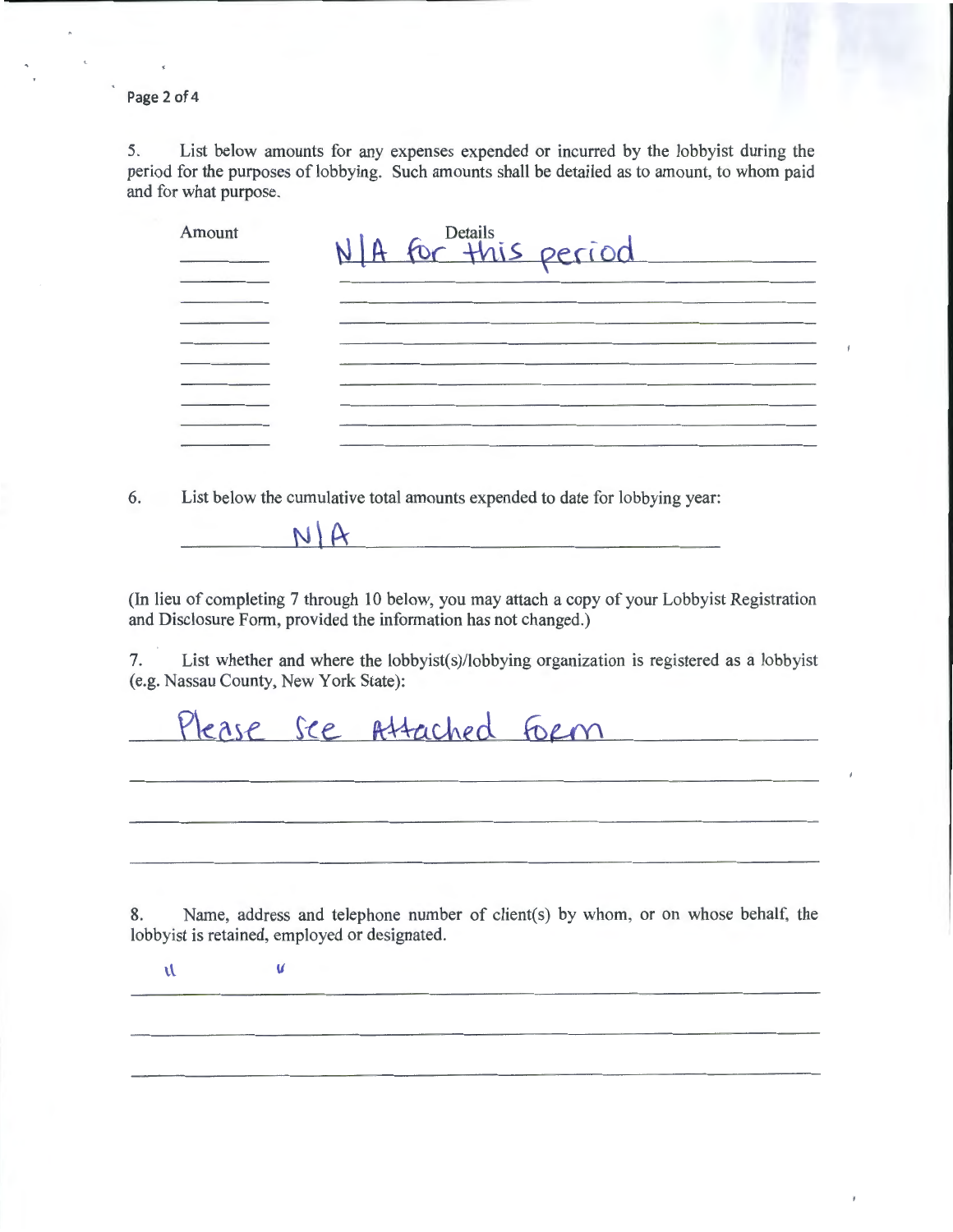Page 2 of 4

5. List below amounts for any expenses expended or incurred by the lobbyist during the period for the purposes of lobbying. Such amounts shall be detailed as to amount, to whom paid and for what purpose.

| Amount | NIA for this period |
|--------|---------------------|
|        |                     |
|        |                     |
|        |                     |
|        |                     |
|        |                     |
|        |                     |
|        |                     |
|        |                     |

6. List below the cumulative total amounts expended to date for lobbying year:

 $N\land A$ 

(In lieu of completing 7 through 10 below, you may attach a copy of your Lobbyist Registration and Disclosure Form, provided the information has not changed.)

7. List whether and where the lobbyist(s)/lobbying organization is registered as a lobbyist (e.g. Nassau County, New York State):

Please see Attached Form

8. Name, address and telephone number of client(s) by whom, or on whose behalf, the lobbyist is retained, employed or designated.

 $\mathbf v$   $\mathbf v$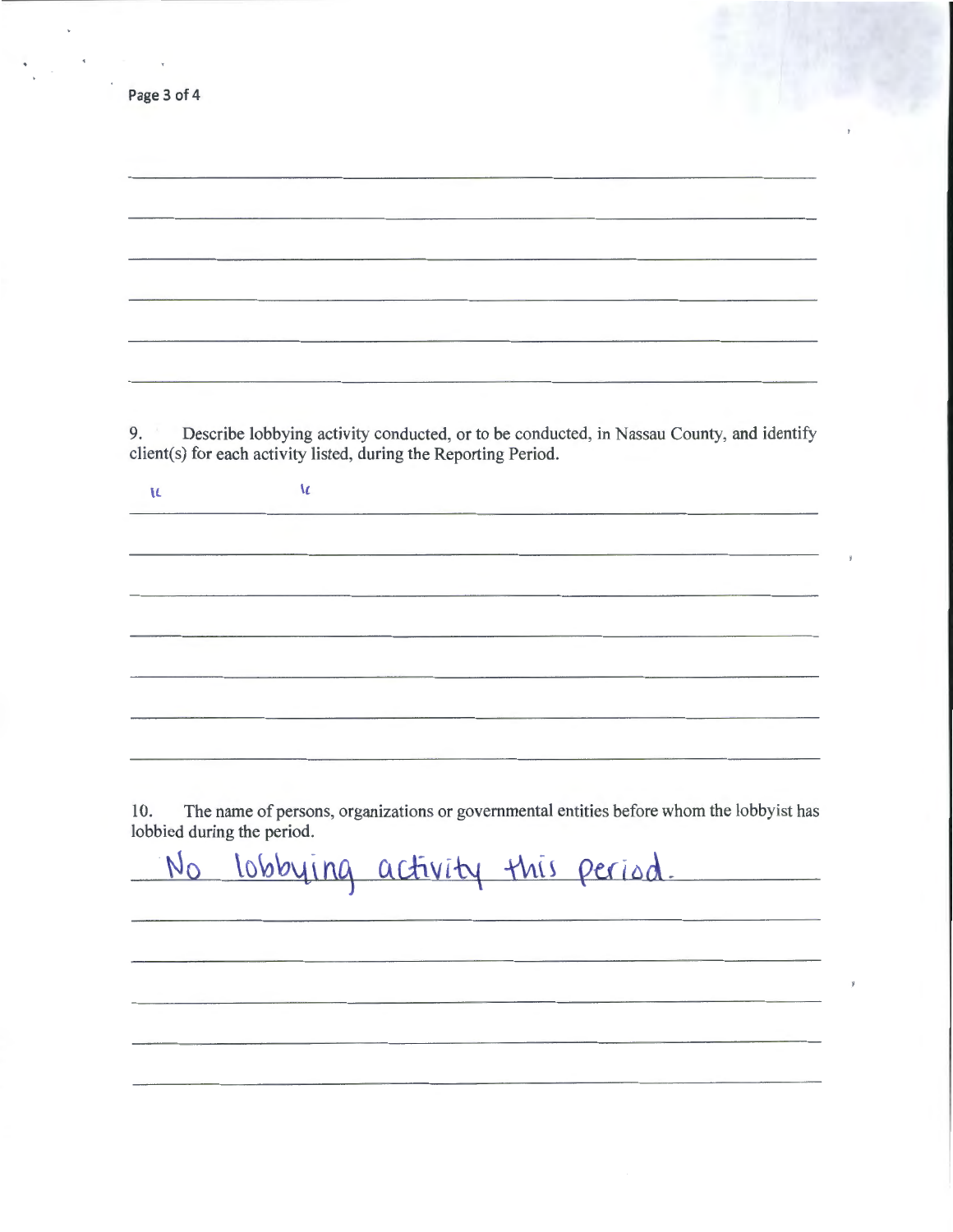| Page 3 of 4 |                                                                                          |                                                                                                                     |
|-------------|------------------------------------------------------------------------------------------|---------------------------------------------------------------------------------------------------------------------|
|             |                                                                                          |                                                                                                                     |
|             |                                                                                          |                                                                                                                     |
|             |                                                                                          |                                                                                                                     |
|             |                                                                                          |                                                                                                                     |
|             |                                                                                          |                                                                                                                     |
|             |                                                                                          |                                                                                                                     |
|             | Describe lobbying activity conducted, or to be conducted, in Nassau County, and identify |                                                                                                                     |
|             | client(s) for each activity listed, during the Reporting Period.<br>$\mathcal{U}$        |                                                                                                                     |
|             |                                                                                          | <u> 1990 - Jan James James Jan James James James James James James James James James James James James James Ja</u> |
|             |                                                                                          |                                                                                                                     |
| u           |                                                                                          |                                                                                                                     |
|             |                                                                                          |                                                                                                                     |
|             |                                                                                          |                                                                                                                     |
| 9.          |                                                                                          |                                                                                                                     |

10. The name of persons, organizations or governmental entities before whom the lobbyist has lobbied during the period.

lobbying activity this period.  $N_{O}$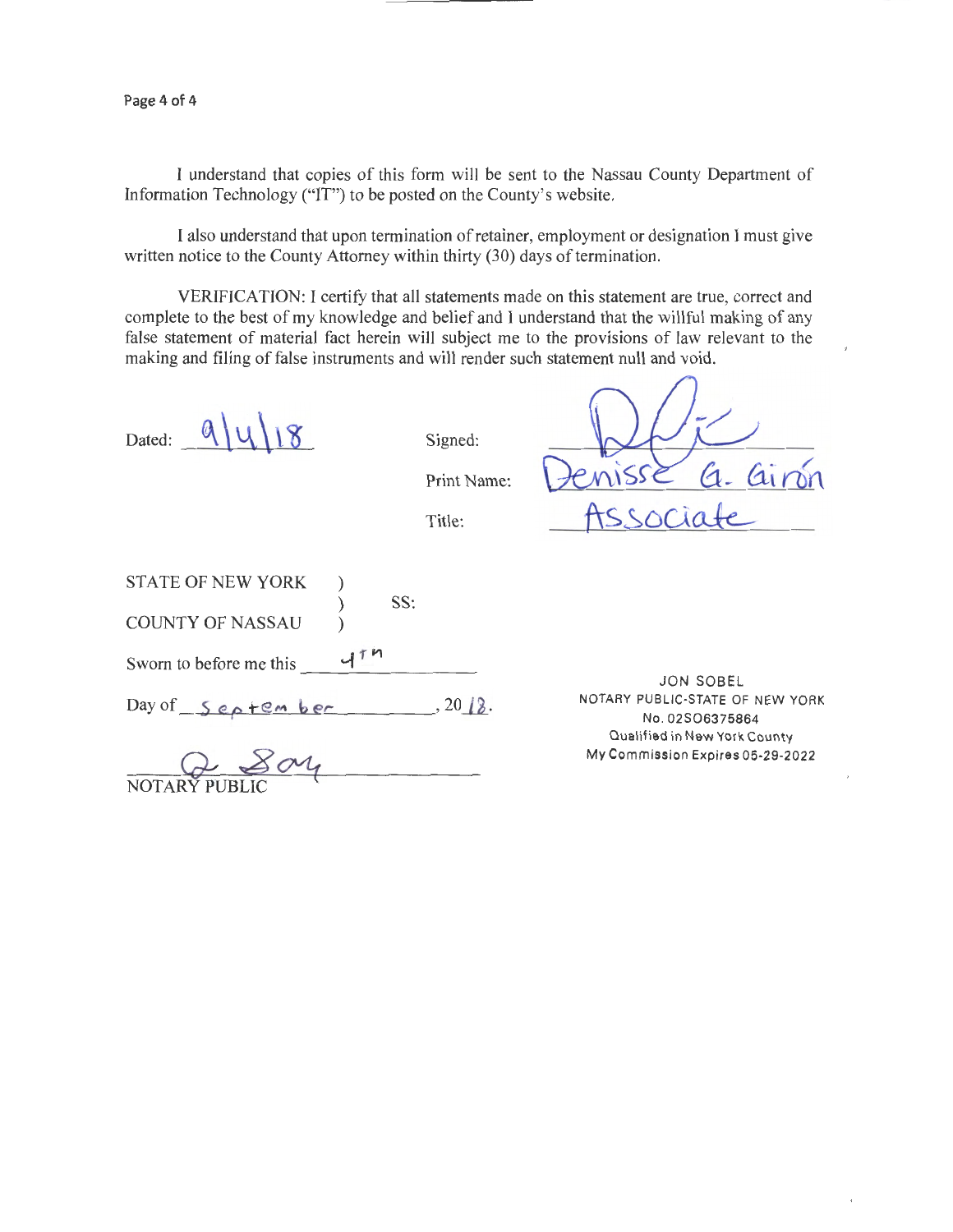Page 4 of 4

NOTARY PUBLIC

I understand that copies of this form will be sent to the Nassau County Department of Information Technology ("IT") to be posted on the County's website.

I also understand that upon termination of retainer, employment or designation I must give written notice to the County Attorney within thirty (30) days of termination.

VERIFICATION: I certify that all statements made on this statement are true, correct and complete to the best of my knowledge and belief and I understand that the willful making of any false statement of material fact herein will subject me to the provisions of law relevant to the making and filing of false instruments and will render such statement null and void.

 $\sqrt{2}$ 

| Dated:                                    |   |     | Signed:<br>Print Name:<br>Title: | G. Giron<br>nint127                                                                                    |
|-------------------------------------------|---|-----|----------------------------------|--------------------------------------------------------------------------------------------------------|
| <b>STATE OF NEW YORK</b>                  |   |     |                                  |                                                                                                        |
| <b>COUNTY OF NASSAU</b>                   |   | SS: |                                  |                                                                                                        |
| Sworn to before me this                   | ∽ |     |                                  |                                                                                                        |
| Day of $\frac{5e^{\alpha+e_m}bc_m}{2e_m}$ |   |     | , 2012.                          | <b>JON SOBEL</b><br>NOTARY PUBLIC-STATE OF NEW YORK<br>No. 02SO6375864<br>Qualified in New York County |
| $\sum_{n=1}^{\infty}$                     |   |     |                                  | My Commission Expires 05-29-2022                                                                       |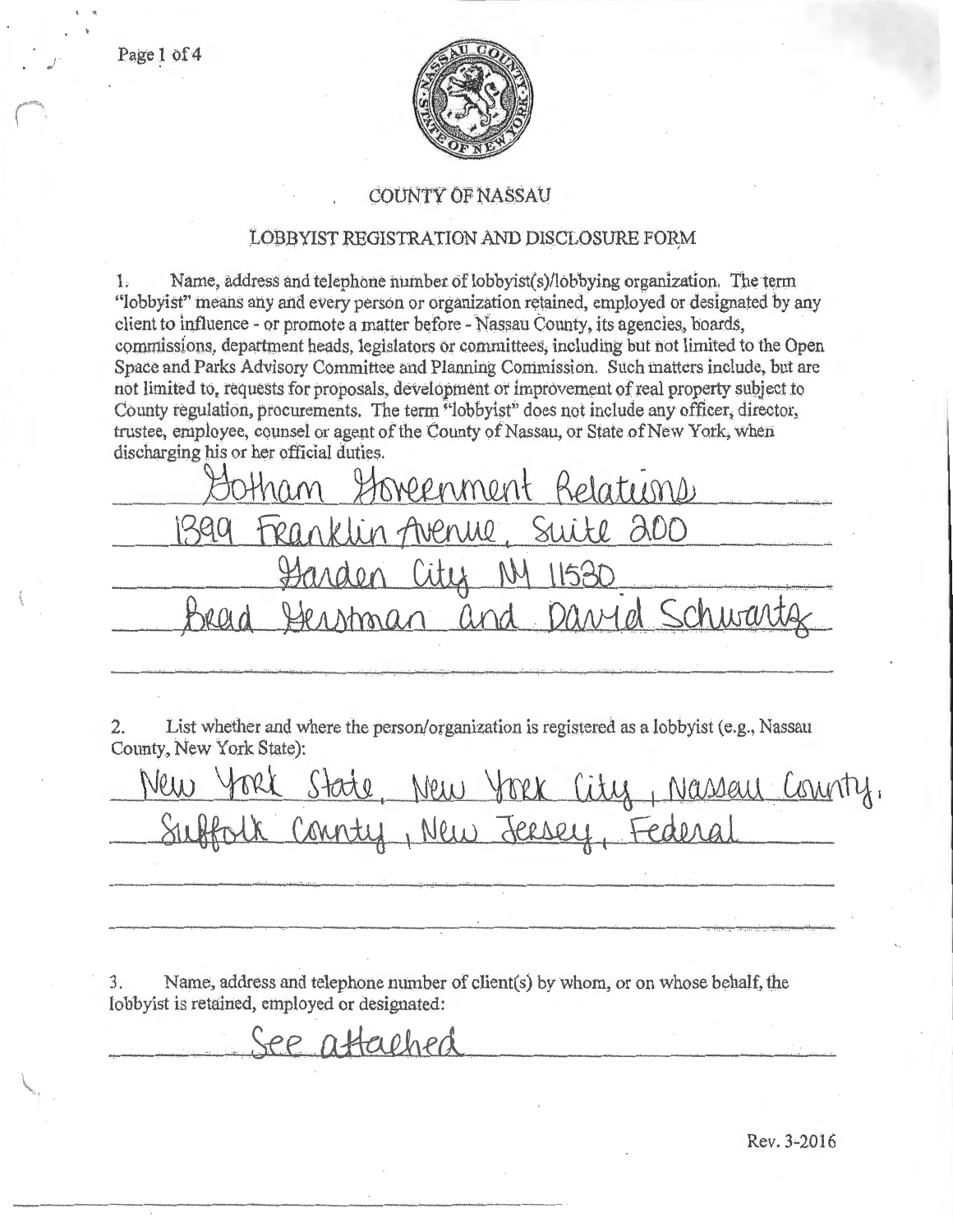

## COUNTY OF NASSAU

## LOBBYIST REGISTRATION AND DISCLOSURE FORM

 $1.$ Name, address and telephone number of lobbyist(s)/lobbying organization. The term "lobbyist" means any and every person or organization retained, employed or designated by any client to influence - or promote a matter before - Nassau County, its agencies, boards, commissions, department heads, legislators or committees, including but not limited to the Open Space and Parks Advisory Committee and Planning Commission. Such matters include, but are not limited to, requests for proposals, development or improvement of real property subject to County regulation, procurements. The term "lobbyist" does not include any officer, director, trustee, employee, counsel or agent of the County of Nassau, or State of New York, when discharging his or her official duties.

Soveenment Relations Suite 200 <u>ch wart</u> man

List whether and where the person/organization is registered as a lobbyist (e.g., Nassau  $2.$ County, New York State):

Nassau County.  $N(\ell_{11})$  $S\tan\theta$  $M(11)$ City Conntu, New Jeesey, Federal

Name, address and telephone number of client(s) by whom, or on whose behalf, the 3. lobbyist is retained, employed or designated:

pp stalled

Rev. 3-2016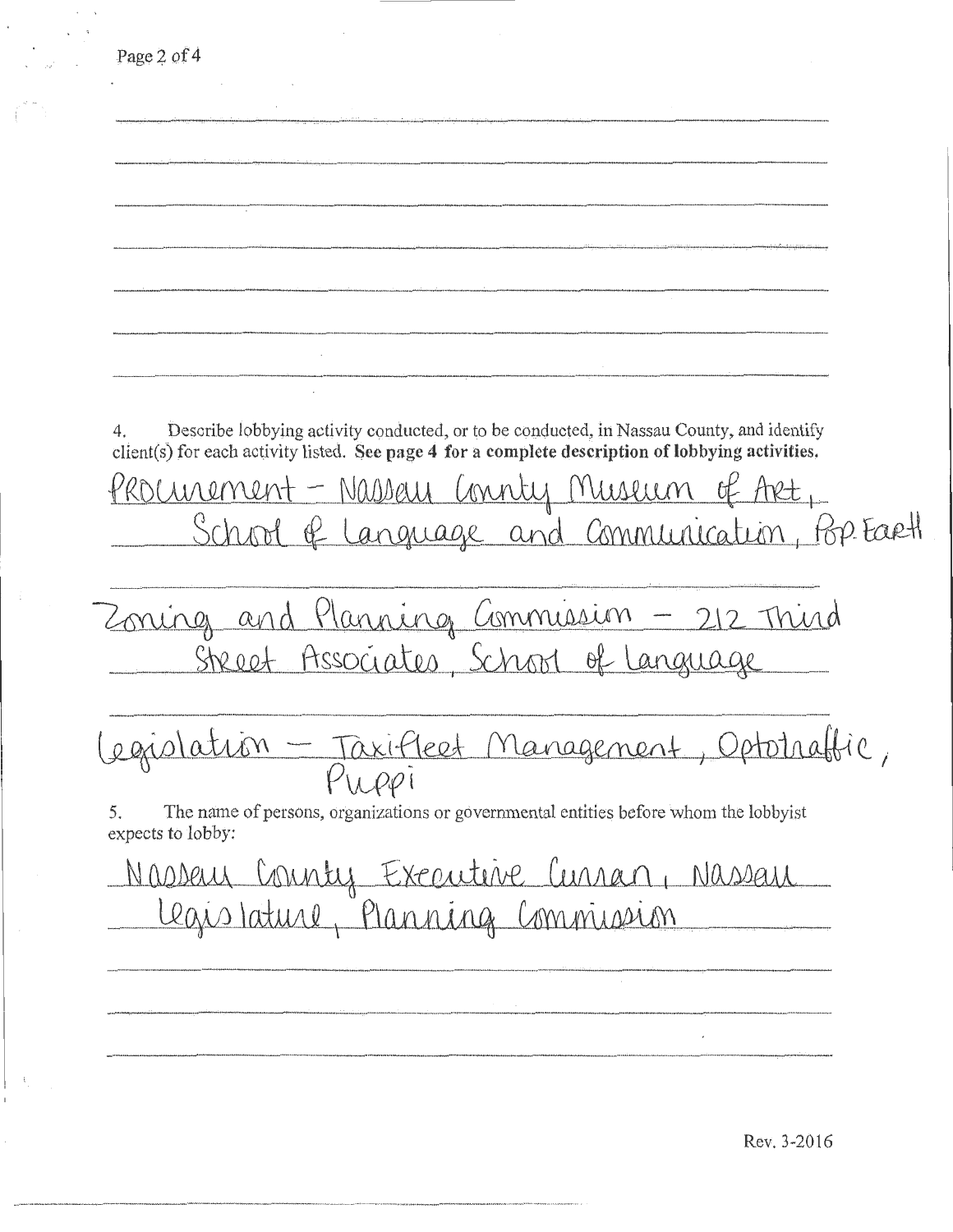$\cdot$   $\cdot$ Page 2 of 4 4. Describe lobbying activity conducted, or to be conducted, in Nassau County, and identify client(s) for each activity listed. See page 4 for a complete description of lobbying activities. PROCurement - Nassau Connty Museum of Aret, School of Language and Communication, Bp Earth Zoning and Planning Commission - 212 Third Street Associates, School of Language -------·----~-- Legiolation - Taxifleet Management, Optotraffic,  $P$  $UOP$ 5. The name of persons, organizations or governmental entities before whom the lobbyist expects to lobby: Nassau County Executive Curran, Nassau Legis lature, Planning Commission ·---------· --·---··--

---------------------·--··-···--·-·-"·'

I

Rev. 3-2016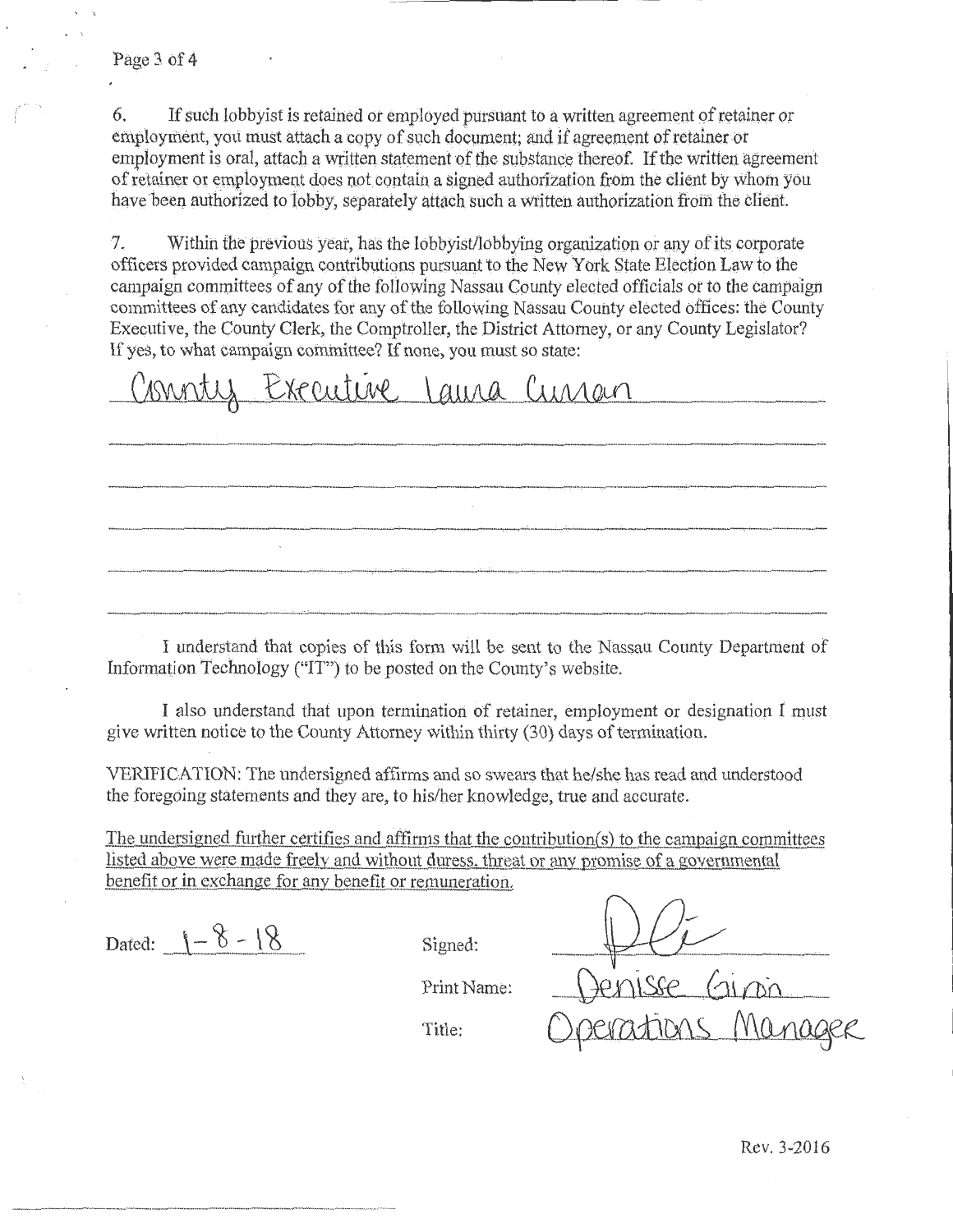6. If such lobby is the retained or employed pursuant to a written agreement of retainer or employment, you must attach a copy of such document; and if agreement of retainer or employment is oral, attach a written statement of the substance thereof. If the written agreement of retainer or employment does not contain a signed authorization from the client by whom you have been authorized to lobby, separately attach such a written authorization from the client.

 $7.$ Within the previous year, has the lobby ist/lobbying organization or any of its corporate officers provided campaign contributions pursuant to the New York State Election Law to the campaign committees of any of the following Nassau County elected officials or to the campaign committees of any candidates for any of the following Nassau County elected offices: the County Executive, the County Clerk, the Comptroller, the District Attorney, or any County Legislator? If yes, to what campaign committee? If none, you must so state:

Executive Laura Currain

I understand that copies of this form will be sent to the Nassau County Department of Information Technology ("IT") to be posted on the County's website.

I also understand that upon termination of retainer, employment or designation I must give written notice to the County Attorney within thirty (30) days of termination.

VERIFICATION: The undersigned affirms and so swears that he/she has read and understood the foregoing statements and they are, to his/her knowledge, true and accurate.

The undersigned further certifies and affirms that the contribution(s) to the campaign committees listed above were made freely and without duress, threat or any promise of a governmental benefit or in exchange for any benefit or remuneration.

Dated:  $1 - 8 - 18$ 

Signed:

Print Name:

Title:

 $4911560$  $(n \nmin$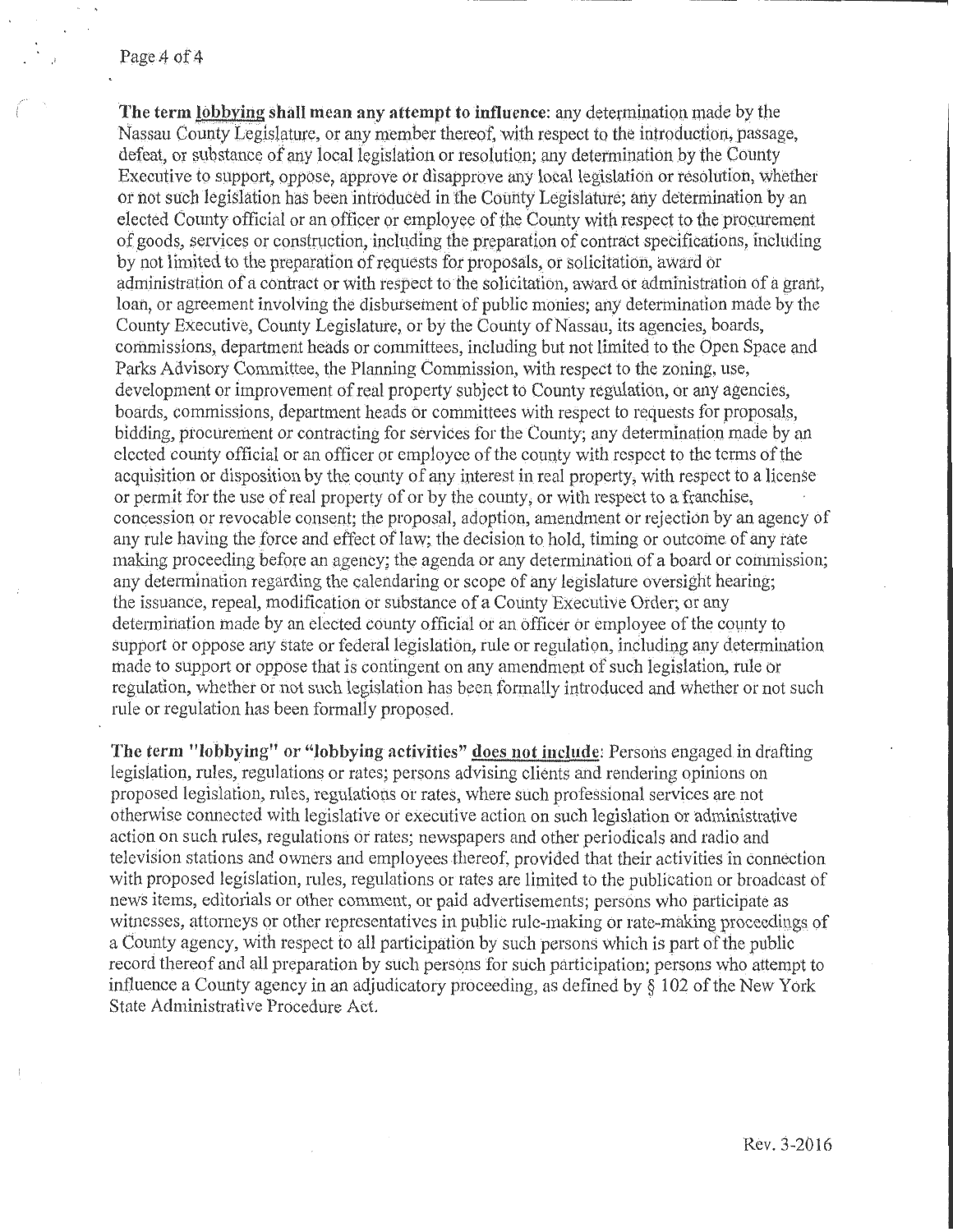The term lobbying shall mean any attempt to influence: any determination made by the Nassau County Legislature, or any member thereof, with respect to the introduction, passage, defeat, or substance of any local legislation or resolution; any determination by the County Executive to support, oppose, approve or disapprove any local legislation or resolution, whether or not such legislation has been introduced in the County Legislature; any determination by an elected County official or an officer or employee of the County with respect to the procurement of goods, services or construction, including the preparation of contract specifications, including by not limited to the preparation of requests for proposals, or solicitation, award or administration of a contract or with respect to the solicitation, award or administration of a grant, loan, or agreement involving the disbursement of public monies; any determination made by the County Executive, County Legislature, or by the County of Nassau, its agencies, boards, commissions, department heads or committees, including but not limited to the Open Space and Parks Advisory Committee, the Planning Commission, with respect to the zoning, use, development or improvement of real property subject to County regulation, or any agencies, boards, commissions, department heads or committees with respect to requests for proposals, bidding, procurement or contracting for services for the County; any determination made by an elected county official or an officer or employee of the county with respect to the terms of the acquisition or disposition by the county of any interest in real property, with respect to a license or permit for the use of real property of or by the county, or with respect to a franchise, concession or revocable consent; the proposal, adoption, amendment or rejection by an agency of any rule having the force and effect of law; the decision to hold, timing or outcome of any rate making proceeding before an agency; the agenda or any determination of a board or commission; any determination regarding the calendaring or scope of any legislature oversight hearing; the issuance, repeal, modification or substance of a County Executive Order; or any determination made by an elected county official or an officer or employee of the county to support or oppose any state or federal legislation, rule or regulation, including any determination made to support or oppose that is contingent on any amendment of such legislation, rule or regulation, whether or not such legislation has been formally introduced and whether or not such rule or regulation has been formally proposed.

The term "lobbying" or "lobbying activities" does not include: Persons engaged in drafting legislation, rules, regulations or rates; persons advising clients and rendering opinions on proposed legislation, rules, regulations or rates, where such professional services are not otherwise connected with legislative or executive action on such legislation or administrative action on such rules, regulations or rates; newspapers and other periodicals and radio and television stations and owners and employees thereof, provided that their activities in connection with proposed legislation, rules, regulations or rates are limited to the publication or broadcast of news items, editorials or other comment, or paid advertisements; persons who participate as witnesses, attorneys or other representatives in public rule-making or rate-making proceedings of a County agency, with respect to all participation by such persons which is part of the public record thereof and all preparation by such persons for such participation; persons who attempt to influence a County agency in an adjudicatory proceeding, as defined by § 102 of the New York State Administrative Procedure Act.